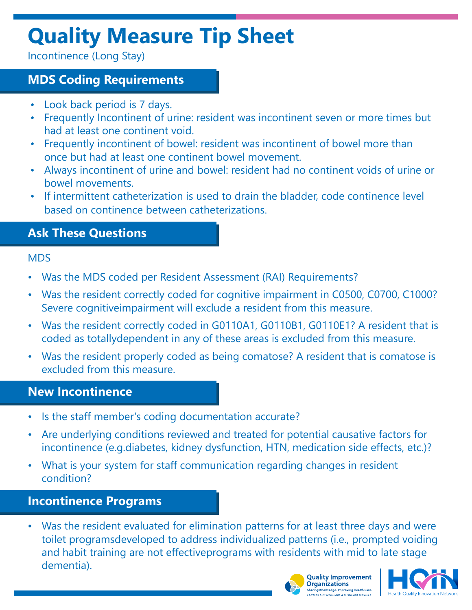# **Quality Measure Tip Sheet**

Incontinence (Long Stay)

## **MDS Coding Requirements**

- Look back period is 7 days.
- Frequently Incontinent of urine: resident was incontinent seven or more times but had at least one continent void.
- Frequently incontinent of bowel: resident was incontinent of bowel more than once but had at least one continent bowel movement.
- Always incontinent of urine and bowel: resident had no continent voids of urine or bowel movements.
- If intermittent catheterization is used to drain the bladder, code continence level based on continence between catheterizations.

## **Ask These Questions**

#### MDS

- Was the MDS coded per Resident Assessment (RAI) Requirements?
- Was the resident correctly coded for cognitive impairment in C0500, C0700, C1000? Severe cognitiveimpairment will exclude a resident from this measure.
- Was the resident correctly coded in G0110A1, G0110B1, G0110E1? A resident that is coded as totallydependent in any of these areas is excluded from this measure.
- Was the resident properly coded as being comatose? A resident that is comatose is excluded from this measure.

### **New Incontinence**

- Is the staff member's coding documentation accurate?
- Are underlying conditions reviewed and treated for potential causative factors for incontinence (e.g.diabetes, kidney dysfunction, HTN, medication side effects, etc.)?
- What is your system for staff communication regarding changes in resident condition?

## **Incontinence Programs**

• Was the resident evaluated for elimination patterns for at least three days and were toilet programsdeveloped to address individualized patterns (i.e., prompted voiding and habit training are not effectiveprograms with residents with mid to late stage dementia).